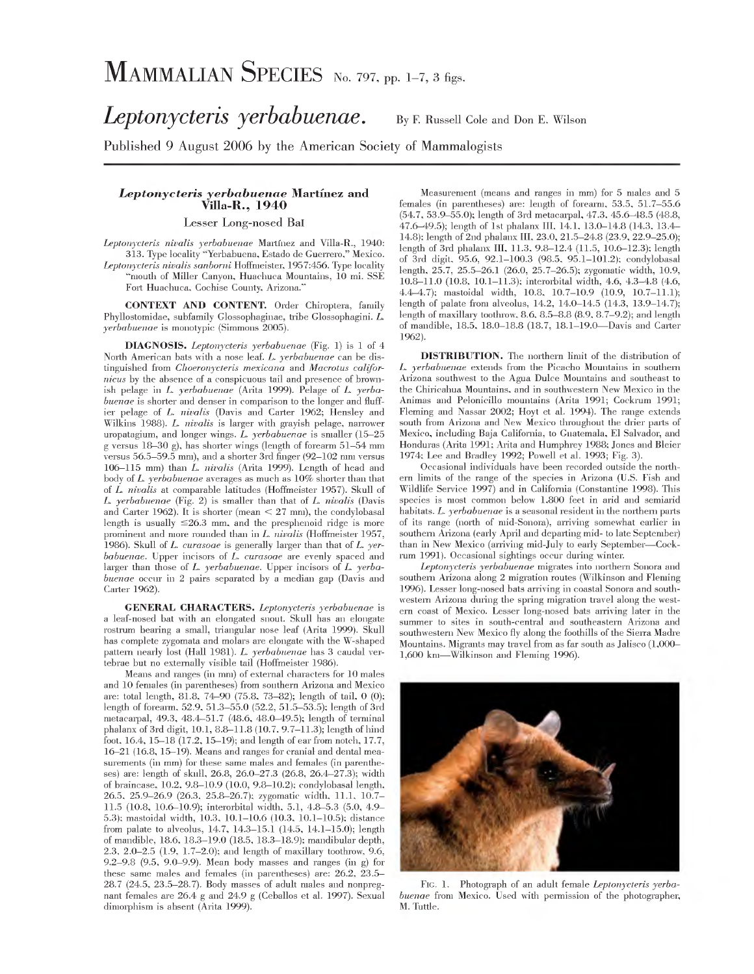Leptonycteris yerbabuenae. By F. Russell Cole and Don E. Wilson

Published 9 August 2006 by the American Society of Mammalogists

## *Leptonycteris yerbabuenae* **Martinez and Villa-R., 1940**

Lesser Long-nosed Bat

*Leptonycteris nivalis yerbabuenae* Martinez and Villa-R., 1940: 313. Type locality "Yerbabuena, Estado de Guerrero," Mexico. *Leptonycteris nivalis sanborni* Hoffmeister, 1957:456. Type locality "mouth of Miller Canyon, Huachuca Mountains, 10 mi. SSE Fort Huachuca, Cochise County, Arizona."

**CONTEXT AND CONTENT.** Order Chiroptera, family Phyllostomidae, subfamily Glossophaginae, tribe Glossophagini. *L. yerbabuenae* is monotypic (Simmons 2005).

**DIAGNOSIS.** *Leptonycteris yerbabuenae* (Fig. 1) is <sup>1</sup> of 4 North American bats with a nose leaf. *L. yerbabuenae* can be distinguished from *Choeronycteris mexicana* and *Macrotus californicus* by the absence of a conspicuous tail and presence of brownish pelage in *L. yerbabuenae* (Arita 1999). Pelage of *L. yerbabuenae* is shorter and denser in comparison to the longer and fluffier pelage of *L. nivalis* (Davis and Carter 1962; Hensley and Wilkins 1988). *L. nivalis* is larger with grayish pelage, narrower uropatagium, and longer wings. *L. yerbabuenae* is smaller (15•25 g versus 18•30 g), has shorter wings (length of forearm 51•54 mm versus 56.5–59.5 mm), and a shorter 3rd finger (92–102 mm versus 106•115 mm) than *L. nivalis* (Arita 1999). Length of head and body of *L. yerbabuenae* averages as much as 10% shorter than that of *L. nivalis* at comparable latitudes (Hoffmeister 1957). Skull of *L. yerbabuenae* (Fig. 2) is smaller than that of *L. nivalis* (Davis and Carter 1962). It is shorter (mean < 27 mm), the condylobasal length is usually  $\leq 26.3$  mm, and the presphenoid ridge is more prominent and more rounded than in *L. nivalis* (Hoffmeister 1957, 1986). Skull of *L. curasoae* is generally larger than that of *L. yerbabuenae.* Upper incisors of *L. curasoae* are evenly spaced and larger than those of *L. yerbabuenae.* Upper incisors of *L. yerbabuenae* occur in 2 pairs separated by a median gap (Davis and Carter 1962).

**GENERAL CHARACTERS.** *Leptonycteris yerbabuenae* is a leaf-nosed bat with an elongated snout. Skull has an elongate rostrum bearing a small, triangular nose leaf (Arita 1999). Skull has complete zygomata and molars are elongate with the W-shaped pattern nearly lost (Hall 1981). *L. yerbabuenae* has 3 caudal vertebrae but no externally visible tail (Hoffmeister 1986).

Means and ranges (in mm) of external characters for 10 males and 10 females (in parentheses) from southern Arizona and Mexico are: total length, 81.8, 74-90 (75.8, 73-82); length of tail, 0 (0); length of forearm, 52.9, 51.3-55.0 (52.2, 51.5-53.5); length of 3rd metacarpal, 49.3, 48.4-51.7 (48.6, 48.0-49.5); length of terminal phalanx of 3rd digit, 10.1, 8.8-11.8 (10.7, 9.7-11.3); length of hind foot, 16.4, 15-18 (17.2, 15-19); and length of ear from notch, 17.7,  $16-21$  (16.8, 15-19). Means and ranges for cranial and dental measurements (in mm) for these same males and females (in parentheses) are: length of skull, 26.8, 26.0-27.3 (26.8, 26.4-27.3); width of braincase, 10.2, 9.8-10.9 (10.0, 9.8-10.2); condylobasal length, 26.5, 25.9-26.9 (26.3, 25.8-26.7); zygomatic width, 11.1, 10.7- 11.5 (10.8, 10.6-10.9); interorbital width, 5.1, 4.8-5.3 (5.0, 4.9- 5.3); mastoidal width, 10.3, 10.1-10.6 (10.3, 10.1-10.5); distance from palate to alveolus, 14.7, 14.3-15.1 (14.5, 14.1-15.0); length of mandible, 18.6, 18.3-19.0 (18.5, 18.3-18.9); mandibular depth, 2.3, 2.0-2.5 (1.9, 1.7-2.0); and length of maxillary toothrow, 9.6, 9.2•9.8 (9.5, 9.0•9.9). Mean body masses and ranges (in g) for these same males and females (in parentheses) are: 26.2, 23.5• 28.7 (24.5, 23.5•28.7). Body masses of adult males and nonpregnant females are 26.4 g and 24.9 g (Ceballos et al. 1997). Sexual dimorphism is absent (Arita 1999).

Measurement (means and ranges in mm) for 5 males and 5 females (in parentheses) are: length of forearm, 53.5, 51.7-55.6 (54.7, 53.9-55.0); length of 3rd metacarpal, 47.3, 45.6^8.5 (48.8, 47.6^19.5); length of 1st phalanx **III,** 14.1, 13.0-14.8 (14.3, 13.4- 14.8); length of 2nd phalanx **III,** 23.0, 21.5-24.8 (23.9, 22.9-25.0); length of 3rd phalanx **III,** 11.3, 9.8-12.4 (11.5, 10.6-12.3); length of 3rd digit, 95.6, 92.1-100.3 (98.5, 95.1-101.2); condylobasal length, 25.7, 25.5-26.1 (26.0, 25.7-26.5); zygomatic width, 10.9, 10.8-11.0 (10.8, 10.1-11.3); interorbital width, 4.6, 4.3-4.8 (4.6, 4.4-4.7); mastoidal width, 10.8, 10.7-10.9 (10.9, 10.7-11.1); length of palate from alveolus, 14.2, 14.0-14.5 (14.3, 13.9-14.7); length of maxillary toothrow, 8.6, 8.5-8.8 (8.9, 8.7-9.2); and length of mandible, 18.5, 18.0-18.8 (18.7, 18.1-19.0-Davis and Carter 1962).

**DISTRIBUTION.** The northern limit of the distribution of *L. yerbabuenae* extends from the Picacho Mountains in southern Arizona southwest to the Agua Dulce Mountains and southeast to the Chiricahua Mountains, and in southwestern New Mexico in the Animas and Pelonicillo mountains (Arita 1991; Cockrum 1991; Fleming and Nassar 2002; Hoyt et al. 1994). The range extends south from Arizona and New Mexico throughout the drier parts of Mexico, including Baja California, to Guatemala, El Salvador, and Honduras (Arita 1991; Arita and Humphrey 1988; Jones and Bleier 1974; Lee and Bradley 1992; Powell et al. 1993; Fig. 3).

Occasional individuals have been recorded outside the northern limits of the range of the species in Arizona (U.S. Fish and Wildlife Service 1997) and in California (Constantine 1998). This species is most common below 1,800 feet in arid and semiarid habitats. *L. yerbabuenae* is a seasonal resident in the northern parts of its range (north of mid-Sonora), arriving somewhat earlier in southern Arizona (early April and departing mid- to late September) than in New Mexico (arriving mid-July to early September-Cockrum 1991). Occasional sightings occur during winter.

*Leptonycteris yerbabuenae* migrates into northern Sonora and southern Arizona along 2 migration routes (Wilkinson and Fleming 1996). Lesser long-nosed bats arriving in coastal Sonora and southwestern Arizona during the spring migration travel along the western coast of Mexico. Lesser long-nosed bats arriving later in the summer to sites in south-central and southeastern Arizona and southwestern New Mexico fly along the foothills of the Sierra Madre Mountains. Migrants may travel from as far south as Jalisco (1,000• 1,600 km-Wilkinson and Fleming 1996).



FlG. 1. Photograph of an adult female *Leptonycteris yerbabuenae* from Mexico. Used with permission of the photographer, M. Tuttle.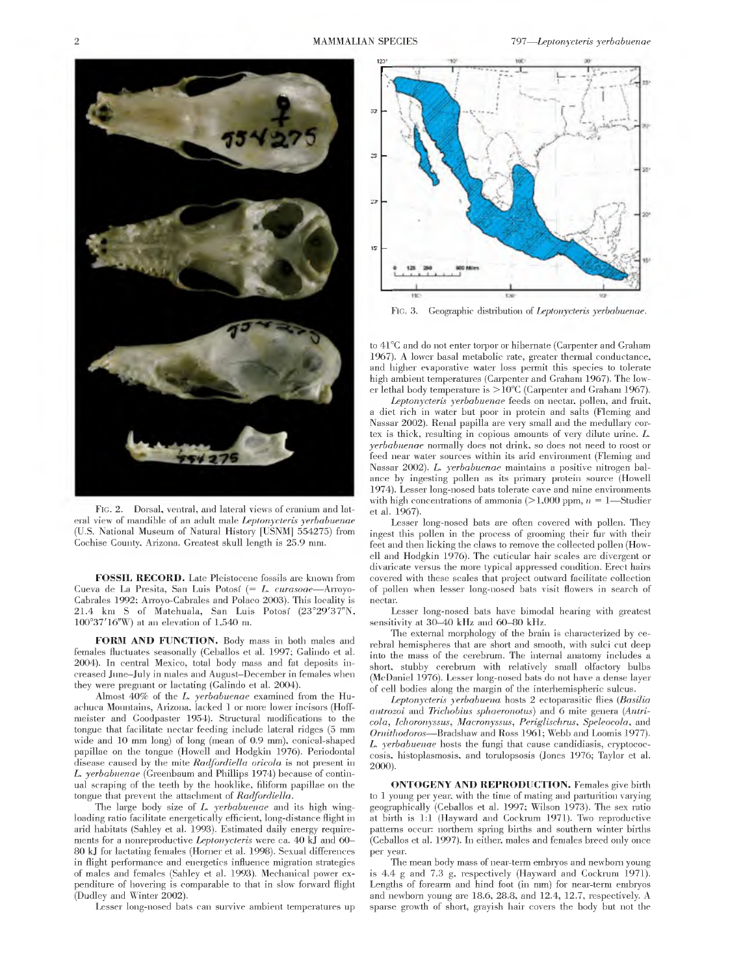

FlG. 2. Dorsal, ventral, and lateral views of cranium and lateral view of mandible of an adult male *Leptonycteris yerbabuenae* (U.S. National Museum of Natural History [USNM] 554275) from Cochise County, Arizona. Greatest skull length is 25.9 mm.

**FOSSIL RECORD.** Late Pleistocene fossils are known from Cueva de La Presita, San Luis Potosí (= *L. curasoae*—Arroyo-Cabrales 1992; Arroyo-Cabrales and Polaco 2003). This locality is 21.4 km S of Matehuala, San Luis Potosi (23°29'37"N, 100°37'16"W) at an elevation of 1,540 m.

**FORM AND FUNCTION.** Body mass in both males and females fluctuates seasonally (Ceballos et al. 1997; Galindo et al. 2004). In central Mexico, total body mass and fat deposits increased June-July in males and August-December in females when they were pregnant or lactating (Galindo et al. 2004).

Almost 40% of the *L. yerbabuenae* examined from the Huachuca Mountains, Arizona, lacked <sup>1</sup> or more lower incisors (Hoffmeister and Goodpaster 1954). Structural modifications to the tongue that facilitate nectar feeding include lateral ridges (5 mm wide and 10 mm long) of long (mean of 0.9 mm), conical-shaped papillae on the tongue (Howell and Hodgkin 1976). Periodontal disease caused by the mite *Radfordiella oricola* is not present in *L. yerbabuenae* (Greenbaum and Phillips 1974) because of continual scraping of the teeth by the hooklike, filiform papillae on the tongue that prevent the attachment of *Radfordiella.*

The large body size of *L. yerbabuenae* and its high wingloading ratio facilitate energetically efficient, long-distance flight in arid habitats (Sahley et al. 1993). Estimated daily energy requirements for a nonreproductive *Leptonycteris* were ca. 40 kj and 60• 80 kj for lactating females (Horner et al. 1998). Sexual differences in flight performance and energetics influence migration strategies of males and females (Sahley et al. 1993). Mechanical power expenditure of hovering is comparable to that in slow forward flight (Dudley and Winter 2002).

Lesser long-nosed bats can survive ambient temperatures up



FlG. 3. Geographic distribution of *Leptonycteris yerbabuenae.*

to 41°C and do not enter torpor or hibernate (Carpenter and Graham 1967). A lower basal metabolic rate, greater thermal conductance, and higher evaporative water loss permit this species to tolerate high ambient temperatures (Carpenter and Graham 1967). The lower lethal body temperature is >10°C (Carpenter and Graham 1967).

*Leptonycteris yerbabuenae* feeds on nectar, pollen, and fruit, a diet rich in water but poor in protein and salts (Fleming and Nassar 2002). Renal papilla are very small and the medullary cortex is thick, resulting in copious amounts of very dilute urine. *L. yerbabuenae* normally does not drink, so does not need to roost or feed near water sources within its arid environment (Fleming and Nassar 2002). *L. yerbabuenae* maintains a positive nitrogen balance by ingesting pollen as its primary protein source (Howell 1974). Lesser long-nosed bats tolerate cave and mine environments with high concentrations of ammonia  $(>1,000$  ppm,  $n = 1$ —Studier et al. 1967).

Lesser long-nosed bats are often covered with pollen. They ingest this pollen in the process of grooming their fur with their feet and then licking the claws to remove the collected pollen (Howell and Hodgkin 1976). The cuticular hair scales are divergent or divaricate versus the more typical appressed condition. Erect hairs covered with these scales that project outward facilitate collection of pollen when lesser long-nosed bats visit flowers in search of nectar.

Lesser long-nosed bats have bimodal hearing with greatest sensitivity at 30-40 kHz and 60-80 kHz.

The external morphology of the brain is characterized by cerebral hemispheres that are short and smooth, with sulci cut deep into the mass of the cerebrum. The internal anatomy includes a short, stubby cerebrum with relatively small olfactory bulbs (McDaniel 1976). Lesser long-nosed bats do not have a dense layer of cell bodies along the margin of the interhemispheric sulcus.

*Leptonycteris yerbabuena* hosts 2 ectoparasitic flies *(Basilia antrozoi* and *Trichobius sphaeronotus)* and 6 mite genera *(Antricola, Ichoronyssus*, *Macronyssus, Periglischrus*, *Speleocola,* and *Ornithodoros*•Bradshaw and Ross 1961; Webb and Loomis 1977). *L. yerbabuenae* hosts the fungi that cause candidiasis, cryptococcosis, histoplasmosis, and torulopsosis (Jones 1976; Taylor et al. 2000).

**ONTOGENY AND REPRODUCTION.** Females give birth to <sup>1</sup> young per year, with the time of mating and parturition varying geographically (Ceballos et al. 1997; Wilson 1973). The sex ratio at birth is 1:1 (Hayward and Cockrum 1971). Two reproductive patterns occur: northern spring births and southern winter births (Ceballos et al. 1997). In either, males and females breed only once per year.

The mean body mass of near-term embryos and newborn young is 4.4 g and 7.3 g, respectively (Hayward and Cockrum 1971). Lengths of forearm and hind foot (in mm) for near-term embryos and newborn young are 18.6, 28.8, and 12.4, 12.7, respectively. A sparse growth of short, grayish hair covers the body but not the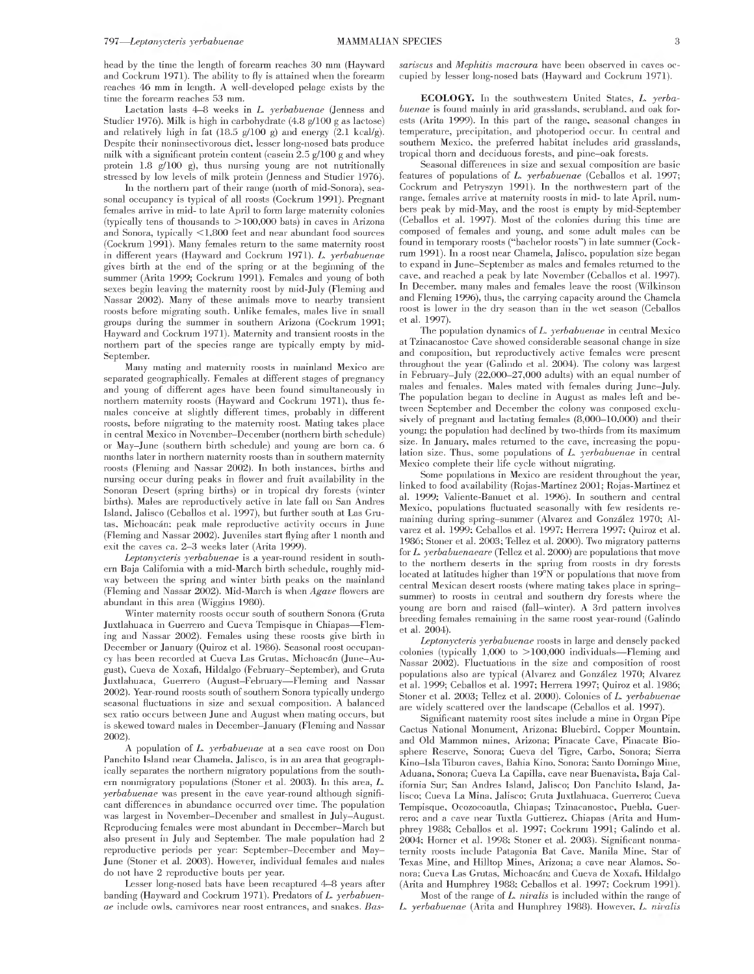head by the time the length of forearm reaches 30 mm (Hayward and Cockrum 1971). The ability to fly is attained when the forearm reaches 46 mm in length. A well-developed pelage exists by the time the forearm reaches 53 mm.

Lactation lasts 4•8 weeks in *L. yerbabuenae* (Jenness and Studier 1976). Milk is high in carbohydrate (4.8 g/100 g as lactose) and relatively high in fat (18.5 g/100 g) and energy (2.1 kcal/g). Despite their noninsectivorous diet, lesser long-nosed bats produce milk with a significant protein content (casein 2.5 g/100 g and whey protein 1.8 g/100 g), thus nursing young are not nutritionally stressed by low levels of milk protein (Jenness and Studier 1976).

In the northern part of their range (north of mid-Sonora), seasonal occupancy is typical of all roosts (Cockrum 1991). Pregnant females arrive in mid- to late April to form large maternity colonies (typically tens of thousands to  $>100,000$  bats) in caves in Arizona and Sonora, typically < 1,800 feet and near abundant food sources (Cockrum 1991). Many females return to the same maternity roost in different years (Hayward and Cockrum 1971). *L. yerbabuenae* gives birth at the end of the spring or at the beginning of the summer (Arita 1999; Cockrum 1991). Females and young of both sexes begin leaving the maternity roost by mid-July (Fleming and Nassar 2002). Many of these animals move to nearby transient roosts before migrating south. Unlike females, males live in small groups during the summer in southern Arizona (Cockrum 1991; Hayward and Cockrum 1971). Maternity and transient roosts in the northern part of the species range are typically empty by mid-September.

Many mating and maternity roosts in mainland Mexico are separated geographically. Females at different stages of pregnancy and young of different ages have been found simultaneously in northern maternity roosts (Hayward and Cockrum 1971), thus females conceive at slightly different times, probably in different roosts, before migrating to the maternity roost. Mating takes place in central Mexico in November-December (northern birth schedule) or May-June (southern birth schedule) and young are born ca. 6 months later in northern maternity roosts than in southern maternity roosts (Fleming and Nassar 2002). In both instances, births and nursing occur during peaks in flower and fruit availability in the Sonoran Desert (spring births) or in tropical dry forests (winter births). Males are reproductively active in late fall on San Andres Island, Jalisco (Ceballos et al. 1997), but further south at Las Grutas, Michoacán; peak male reproductive activity occurs in June (Fleming and Nassar 2002). Juveniles start flying after <sup>1</sup> month and exit the caves ca. 2-3 weeks later (Arita 1999).

*Leptonycteris yerbabuenae* is a year-round resident in southern Baja California with a mid-March birth schedule, roughly midway between the spring and winter birth peaks on the mainland (Fleming and Nassar 2002). Mid-March is when *Agave* flowers are abundant in this area (Wiggins 1980).

Winter maternity roosts occur south of southern Sonora (Gruta Juxtlahuaca in Guerrero and Cueva Tempisque in Chiapas-Fleming and Nassar 2002). Females using these roosts give birth in December or January (Quiroz et al. 1986). Seasonal roost occupancy has been recorded at Cueva Las Grutas, Michoacán (June-August), Cueva de Xoxafi, Hildalgo (February–September), and Gruta Juxtlahuaca, Guerrero (August-February-Fleming and Nassar 2002). Year-round roosts south of southern Sonora typically undergo seasonal fluctuations in size and sexual composition. A balanced sex ratio occurs between June and August when mating occurs, but is skewed toward males in December-January (Fleming and Nassar 2002).

A population of *L. yerbabuenae* at a sea cave roost on Don Panchito Island near Chamela, Jalisco, is in an area that geographically separates the northern migratory populations from the southern nonmigratory populations (Stoner et al. 2003). In this area, *L. yerbabuenae* was present in the cave year-round although significant differences in abundance occurred over time. The population was largest in November-December and smallest in July-August. Reproducing females were most abundant in December-March but also present in July and September. The male population had 2 reproductive periods per year: September-December and May-June (Stoner et al. 2003). However, individual females and males do not have 2 reproductive bouts per year.

Lesser long-nosed bats have been recaptured 4^8 years after banding (Hayward and Cockrum 1971). Predators of *L. yerbabuenae* include owls, carnivores near roost entrances, and snakes. *Bas-* *sariscus* and *Mephitis macroura* have been observed in caves occupied by lesser long-nosed bats (Hayward and Cockrum 1971).

**ECOLOGY.** In the southwestern United States, *L. yerbabuenae* is found mainly in arid grasslands, scrubland, and oak forests (Arita 1999). In this part of the range, seasonal changes in temperature, precipitation, and photoperiod occur. In central and southern Mexico, the preferred habitat includes arid grasslands, tropical thorn and deciduous forests, and pine-oak forests.

Seasonal differences in size and sexual composition are basic features of populations of *L. yerbabuenae* (Ceballos et al. 1997; Cockrum and Petryszyn 1991). In the northwestern part of the range, females arrive at maternity roosts in mid- to late April, numbers peak by mid-May, and the roost is empty by mid-September (Ceballos et al. 1997). Most of the colonies during this time are composed of females and young, and some adult males can be found in temporary roosts ("bachelor roosts") in late summer (Cockrum 1991). In a roost near Chamela, Jalisco, population size began to expand in June-September as males and females returned to the cave, and reached a peak by late November (Ceballos et al. 1997). In December, many males and females leave the roost (Wilkinson and Fleming 1996), thus, the carrying capacity around the Chamela roost is lower in the dry season than in the wet season (Ceballos et al. 1997).

The population dynamics of *L. yerbabuenae* in central Mexico at Tzinacanostoc Cave showed considerable seasonal change in size and composition, but reproductively active females were present throughout the year (Galindo et al. 2004). The colony was largest in February-July  $(22,000-27,000)$  adults) with an equal number of males and females. Males mated with females during June-July. The population began to decline in August as males left and between September and December the colony was composed exclusively of pregnant and lactating females  $(8,000-10,000)$  and their young; the population had declined by two-thirds from its maximum size. In January, males returned to the cave, increasing the population size. Thus, some populations of *L. yerbabuenae* in central Mexico complete their life cycle without migrating.

Some populations in Mexico are resident throughout the year, linked to food availability (Rojas-Martinez 2001; Rojas-Martinez et al. 1999; Valiente-Banuet et al. 1996). In southern and central Mexico, populations fluctuated seasonally with few residents remaining during spring-summer (Alvarez and González 1970; Alvarez et al. 1999; Ceballos et al. 1997; Herrera 1997; Quiroz et al. 1986; Stoner et al. 2003; Tellez et al. 2000). Two migratory patterns for *L. yerbabuenaeare* (Tellez et al. 2000) are populations that move to the northern deserts in the spring from roosts in dry forests located at latitudes higher than 19°N or populations that move from central Mexican desert roosts (where mating takes place in springsummer) to roosts in central and southern dry forests where the young are born and raised (fall-winter). A 3rd pattern involves breeding females remaining in the same roost year-round (Galindo et al. 2004).

*Leptonycteris yerbabuenae* roosts in large and densely packed colonies (typically  $1,000$  to  $>100,000$  individuals—Fleming and Nassar 2002). Fluctuations in the size and composition of roost populations also are typical (Alvarez and Gonzalez 1970; Alvarez et al. 1999; Ceballos et al. 1997; Herrera 1997; Quiroz et al. 1986; Stoner et al. 2003; Tellez et al. 2000). Colonies of *L. yerbabuenae* are widely scattered over the landscape (Ceballos et al. 1997).

Significant maternity roost sites include a mine in Organ Pipe Cactus National Monument, Arizona; Bluebird, Copper Mountain, and Old Mammon mines, Arizona; Pinacate Cave, Pinacate Biosphere Reserve, Sonora; Cueva del Tigre, Carbo, Sonora; Sierra Kino-Isla Tiburon caves, Bahia Kino, Sonora; Santo Domingo Mine, Aduana, Sonora; Cueva La Capilla, cave near Buenavista, Baja California Sur; San Andres Island, Jalisco; Don Panchito Island, Jalisco; Cueva La Mina, Jalisco; Gruta Juxtlahuaca, Guerrero; Cueva Tempisque, Ocozocoautla, Chiapas; Tzinacanostoc, Puebla, Guerrero; and a cave near Tuxtla Guttierez, Chiapas (Arita and Humphrey 1988; Ceballos et al. 1997; Cockrum 1991; Galindo et al. 2004; Horner et al. 1998; Stoner et al. 2003). Significant nonmaternity roosts include Patagonia Bat Cave, Manila Mine, Star of Texas Mine, and Hilltop Mines, Arizona; a cave near Alamos, Sonora; Cueva Las Grutas, Michoacán; and Cueva de Xoxafi, Hildalgo (Arita and Humphrey 1988; Ceballos et al. 1997; Cockrum 1991).

Most of the range of *L. nivalis* is included within the range of *L. yerbabuenae* (Arita and Humphrey 1988). However, *L. nivalis*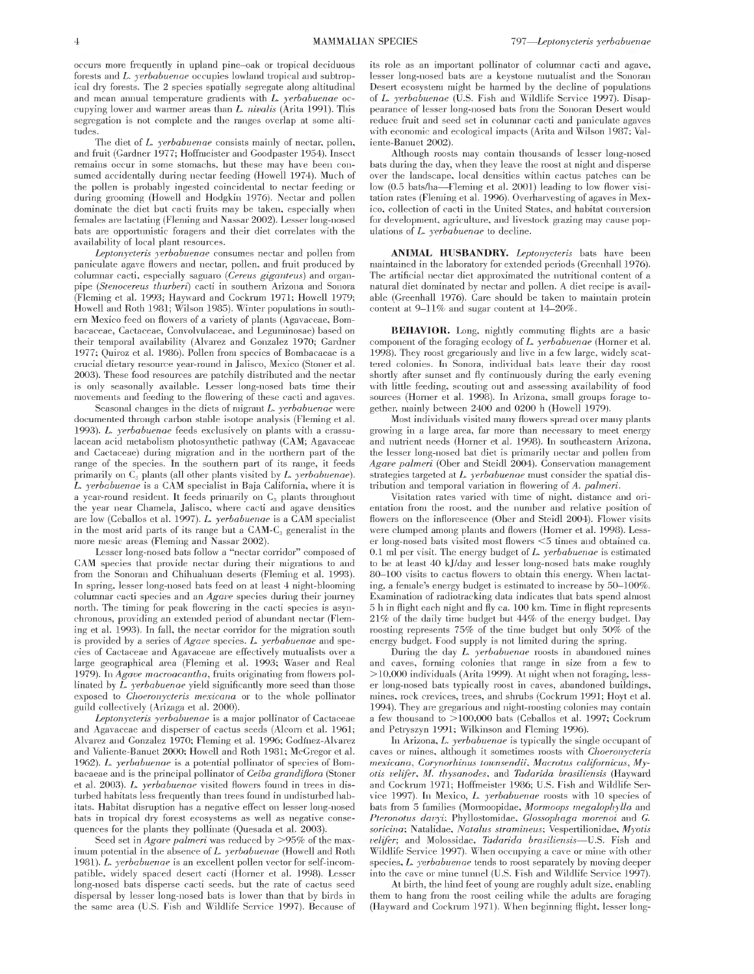occurs more frequently in upland pine-oak or tropical deciduous forests and *L. yerbabuenae* occupies lowland tropical and subtropical dry forests. The 2 species spatially segregate along altitudinal and mean annual temperature gradients with *L. yerbabuenae* occupying lower and warmer areas than *L. nivalis* (Arita 1991). This segregation is not complete and the ranges overlap at some altitudes.

The diet of *L. yerbabuenae* consists mainly of nectar, pollen, and fruit (Gardner 1977; Hoffmeister and Goodpaster 1954). Insect remains occur in some stomachs, but these may have been consumed accidentally during nectar feeding (Howell 1974). Much of the pollen is probably ingested coincidental to nectar feeding or during grooming (Howell and Hodgkin 1976). Nectar and pollen dominate the diet but cacti fruits may be taken, especially when females are lactating (Fleming and Nassar 2002). Lesser long-nosed bats are opportunistic foragers and their diet correlates with the availability of local plant resources.

*Leptonycteris yerbabuenae* consumes nectar and pollen from paniculate agave flowers and nectar, pollen, and fruit produced by columnar cacti, especially saguaro *(Cereus giganteus)* and organpipe *(Stenocereus thurberi)* cacti in southern Arizona and Sonora (Fleming et al. 1993; Hayward and Cockrum 1971; Howell 1979; Howell and Roth 1981; Wilson 1985). Winter populations in southern Mexico feed on flowers of a variety of plants (Agavaceae, Bombacaceae, Cactaceae, Convolvulaceae, and Leguminosae) based on their temporal availability (Alvarez and Gonzalez 1970; Gardner 1977; Quiroz et al. 1986). Pollen from species of Bombacaeae is a crucial dietary resource year-round in Jalisco, Mexico (Stoner et al. 2003). These food resources are patchily distributed and the nectar is only seasonally available. Lesser long-nosed bats time their movements and feeding to the flowering of these cacti and agaves.

Seasonal changes in the diets of migrant *L. yerbabuenae* were documented through carbon stable isotope analysis (Fleming et al. 1993). *L. yerbabuenae* feeds exclusively on plants with a crassulacean acid metabolism photosynthetic pathway (CAM; Agavaceae and Cactaceae) during migration and in the northern part of the range of the species. In the southern part of its range, it feeds primarily on C<sub>3</sub> plants (all other plants visited by *L. yerbabuenae*). *L. yerbabuenae* is a CAM specialist in Baja California, where it is a year-round resident. It feeds primarily on  $C_3$  plants throughout the year near Chamela, Jalisco, where cacti and agave densities are low (Ceballos et al. 1997). *L. yerbabuenae* is a CAM specialist in the most arid parts of its range but a  $CAM-C<sub>3</sub>$  generalist in the more mesic areas (Fleming and Nassar 2002).

Lesser long-nosed bats follow a "nectar corridor" composed of CAM species that provide nectar during their migrations to and from the Sonoran and Chihuahuan deserts (Fleming et al. 1993). In spring, lesser long-nosed bats feed on at least 4 night-blooming columnar cacti species and an *Agave* species during their journey north. The timing for peak flowering in the cacti species is asynchronous, providing an extended period of abundant nectar (Fleming et al. 1993). In fall, the nectar corridor for the migration south is provided by a series of *Agave* species. *L. yerbabuenae* and species of Cactaceae and Agavaceae are effectively mutualists over a large geographical area (Fleming et al. 1993; Waser and Real 1979). In *Agave macroacantha,* fruits originating from flowers pollinated by *L. yerbabuenae* yield significantly more seed than those exposed to *Choeronycteris mexicana* or to the whole pollinator guild collectively (Arizaga et al. 2000).

*Leptonycteris yerbabuenae* is a major pollinator of Cactaceae and Agavaceae and disperser of cactus seeds (Alcorn et al. 1961; Alvarez and Gonzalez 1970; Fleming et al. 1996; Godinez-Alvarez and Valiente-Banuet 2000; Howell and Roth 1981; McGregor et al. 1962). *L. yerbabuenae* is a potential pollinator of species of Bombacaeae and is the principal pollinator of *Ceiba grandiflora* (Stoner et al. 2003). *L. yerbabuenae* visited flowers found in trees in disturbed habitats less frequently than trees found in undisturbed habitats. Habitat disruption has a negative effect on lesser long-nosed bats in tropical dry forest ecosystems as well as negative consequences for the plants they pollinate (Quesada et al. 2003).

Seed set in *Agave palmeri* was reduced by >95% of the maximum potential in the absence of *L. yerbabuenae* (Howell and Roth 1981). *L. yerbabuenae* is an excellent pollen vector for self-incompatible, widely spaced desert cacti (Horner et al. 1998). Lesser long-nosed bats disperse cacti seeds, but the rate of cactus seed dispersal by lesser long-nosed bats is lower than that by birds in the same area (U.S. Fish and Wildlife Service 1997). Because of

its role as an important pollinator of columnar cacti and agave, lesser long-nosed bats are a keystone mutualist and the Sonoran Desert ecosystem might be harmed by the decline of populations of *L. yerbabuenae* (U.S. Fish and Wildlife Service 1997). Disappearance of lesser long-nosed bats from the Sonoran Desert would reduce fruit and seed set in columnar cacti and paniculate agaves with economic and ecological impacts (Arita and Wilson 1987; Valiente-Banuet 2002).

Although roosts may contain thousands of lesser long-nosed bats during the day, when they leave the roost at night and disperse over the landscape, local densities within cactus patches can be low (0.5 bats/ha-Fleming et al. 2001) leading to low flower visitation rates (Fleming et al. 1996). Overharvesting of agaves in Mexico, collection of cacti in the United States, and habitat conversion for development, agriculture, and livestock grazing may cause populations of *L. yerbabuenae* to decline.

**ANIMAL HUSBANDRY.** *Leptonycteris* bats have been maintained in the laboratory for extended periods (Greenhall 1976). The artificial nectar diet approximated the nutritional content of a natural diet dominated by nectar and pollen. A diet recipe is available (Greenhall 1976). Care should be taken to maintain protein content at  $9-11\%$  and sugar content at  $14-20\%$ .

**BEHAVIOR.** Long, nightly commuting flights are a basic component of the foraging ecology of *L. yerbabuenae* (Horner et al. 1998). They roost gregariously and live in a few large, widely scattered colonies. In Sonora, individual bats leave their day roost shortly after sunset and fly continuously during the early evening with little feeding, scouting out and assessing availability of food sources (Horner et al. 1998). In Arizona, small groups forage together, mainly between 2400 and 0200 h (Howell 1979).

Most individuals visited many flowers spread over many plants growing in a large area, far more than necessary to meet energy and nutrient needs (Horner et al. 1998). In southeastern Arizona, the lesser long-nosed bat diet is primarily nectar and pollen from *Agave palmeri* (Ober and Steidl 2004). Conservation management strategies targeted at *L. yerbabuenae* must consider the spatial distribution and temporal variation in flowering of *A. palmeri.*

Visitation rates varied with time of night, distance and orientation from the roost, and the number and relative position of flowers on the inflorescence (Ober and Steidl 2004). Flower visits were clumped among plants and flowers (Horner et al. 1998). Lesser long-nosed bats visited most flowers <5 times and obtained ca. 0.1 ml per visit. The energy budget of *L. yerbabuenae* is estimated to be at least 40 kj/day and lesser long-nosed bats make roughly 80–100 visits to cactus flowers to obtain this energy. When lactating, a female's energy budget is estimated to increase by  $50-100\%$ . Examination of radiotracking data indicates that bats spend almost 5 h in flight each night and fly ca. 100 km. Time in flight represents 21% of the daily time budget but 44% of the energy budget. Day roosting represents 75% of the time budget but only 50% of the energy budget. Food supply is not limited during the spring.

During the day *L. yerbabuenae* roosts in abandoned mines and caves, forming colonies that range in size from a few to > 10,000 individuals (Arita 1999). At night when not foraging, lesser long-nosed bats typically roost in caves, abandoned buildings, mines, rock crevices, trees, and shrubs (Cockrum 1991; Hoyt et al. 1994). They are gregarious and night-roosting colonies may contain a few thousand to  $>$  100,000 bats (Ceballos et al. 1997; Cockrum and Petryszyn 1991; Wilkinson and Fleming 1996).

In Arizona, *L. yerbabuenae* is typically the single occupant of caves or mines, although it sometimes roosts with *Choeronycteris mexicana, Corynorhinus townsendii, Macrotus califbrnicus*, *Myotis velifer, M. thysanodes,* and *Tadarida brasiliensis* (Hayward and Cockrum 1971; Hoffmeister 1986; U.S. Fish and Wildlife Service 1997). In Mexico, *L. yerbabuenae* roosts with 10 species of bats from 5 families (Mormoopidae, *Mormoops megalophylla* and *Pteronotus davyi;* Phyllostomidae, *Glossophaga morenoi* and *G. soricina;* Natalidae, *Natalus stramineus;* Vespertilionidae, *Myotis velifer;* and Molossidae, *Tadarida brasiliensis*•U.S. Fish and Wildlife Service 1997). When occupying a cave or mine with other species, *L. yerbabuenae* tends to roost separately by moving deeper into the cave or mine tunnel (U.S. Fish and Wildlife Service 1997).

At birth, the hind feet of young are roughly adult size, enabling them to hang from the roost ceiling while the adults are foraging (Hayward and Cockrum 1971). When beginning flight, lesser long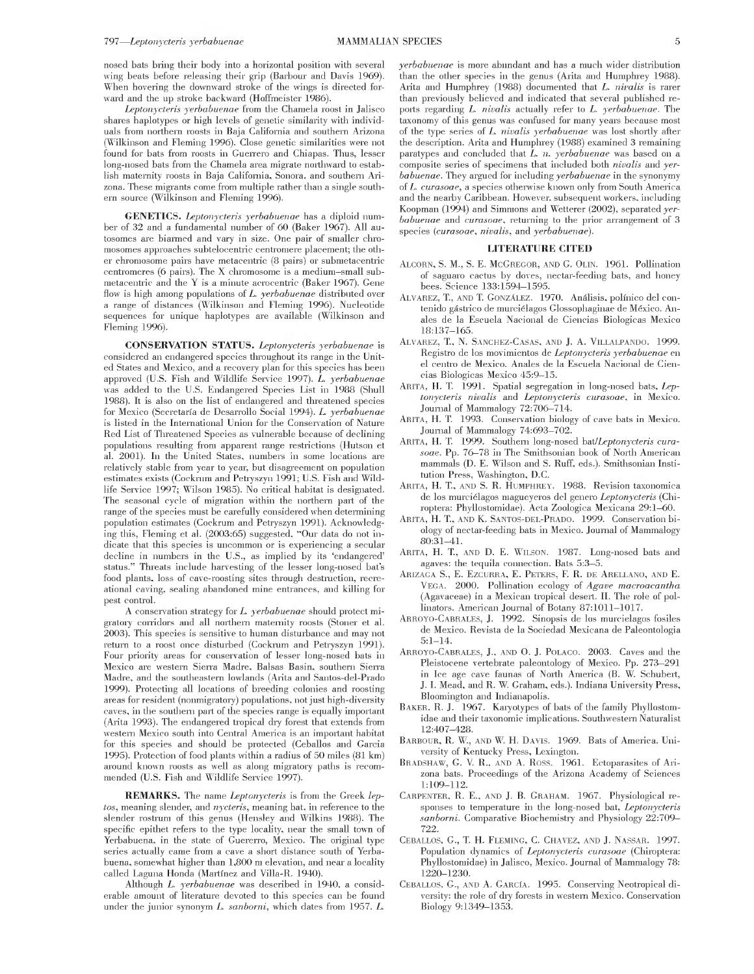nosed bats bring their body into a horizontal position with several wing beats before releasing their grip (Barbour and Davis 1969). When hovering the downward stroke of the wings is directed forward and the up stroke backward (Hoffmeister 1986).

*Leptonycteris yerbabuenae* from the Chamela roost in Jalisco shares haplotypes or high levels of genetic similarity with individuals from northern roosts in Baja California and southern Arizona (Wilkinson and Fleming 1996). Close genetic similarities were not found for bats from roosts in Guerrero and Chiapas. Thus, lesser long-nosed bats from the Chamela area migrate northward to establish maternity roosts in Baja California, Sonora, and southern Arizona. These migrants come from multiple rather than a single southern source (Wilkinson and Fleming 1996).

**GENETICS.** *Leptonycteris yerbabuenae* has a diploid number of 32 and a fundamental number of 60 (Baker 1967). All autosomes are biarmed and vary in size. One pair of smaller chromosomes approaches subtelocentric centromere placement; the other chromosome pairs have metacentric (8 pairs) or submetacentric centromeres (6 pairs). The X chromosome is a medium-small submetacentric and the Y is a minute acrocentric (Baker 1967). Gene flow is high among populations of *L. yerbabuenae* distributed over a range of distances (Wilkinson and Fleming 1996). Nucleotide sequences for unique haplotypes are available (Wilkinson and Fleming 1996).

**CONSERVATION STATUS.** *Leptonycteris yerbabuenae* is considered an endangered species throughout its range in the United States and Mexico, and a recovery plan for this species has been approved (U.S. Fish and Wildlife Service 1997). *L. yerbabuenae* was added to the U.S. Endangered Species List in 1988 (Shull 1988). It is also on the list of endangered and threatened species for Mexico (Secretana de Desarrollo Social 1994). *L. yerbabuenae* is listed in the International Union for the Conservation of Nature Red List of Threatened Species as vulnerable because of declining populations resulting from apparent range restrictions (Hutson et al. 2001). In the United States, numbers in some locations are relatively stable from year to year, but disagreement on population estimates exists (Cockrum and Petryszyn 1991; U.S. Fish and Wildlife Service 1997; Wilson 1985). No critical habitat is designated. The seasonal cycle of migration within the northern part of the range of the species must be carefully considered when determining population estimates (Cockrum and Petryszyn 1991). Acknowledging this, Fleming et al. (2003:65) suggested, "Our data do not indicate that this species is uncommon or is experiencing a secular decline in numbers in the U.S., as implied by its 'endangered' status." Threats include harvesting of the lesser long-nosed bat's food plants, loss of cave-roosting sites through destruction, recreational caving, sealing abandoned mine entrances, and killing for pest control.

A conservation strategy for *L. yerbabuenae* should protect migratory corridors and all northern maternity roosts (Stoner et al. 2003). This species is sensitive to human disturbance and may not return to a roost once disturbed (Cockrum and Petryszyn 1991). Four priority areas for conservation of lesser long-nosed bats in Mexico are western Sierra Madre, Balsas Basin, southern Sierra Madre, and the southeastern lowlands (Arita and Santos-del-Prado 1999). Protecting all locations of breeding colonies and roosting areas for resident (nonmigratory) populations, not just high-diversity caves, in the southern part of the species range is equally important (Arita 1993). The endangered tropical dry forest that extends from western Mexico south into Central America is an important habitat for this species and should be protected (Ceballos and Garcia 1995). Protection of food plants within a radius of 50 miles (81 km) around known roosts as well as along migratory paths is recommended (U.S. Fish and Wildlife Service 1997).

**REMARKS.** The name *Leptonycteris* is from the Greek *leptos,* meaning slender, and *nycteris,* meaning bat, in reference to the slender rostrum of this genus (Hensley and Wilkins 1988). The specific epithet refers to the type locality, near the small town of Yerbabuena, in the state of Guererro, Mexico. The original type series actually came from a cave a short distance south of Yerbabuena, somewhat higher than 1,800 m elevation, and near a locality called Laguna Honda (Martinez and Villa-R. 1940).

Although *L. yerbabuenae* was described in 1940, a considerable amount of literature devoted to this species can be found under the junior synonym *L. sanborni,* which dates from 1957. *L.*

*yerbabuenae* is more abundant and has a much wider distribution than the other species in the genus (Arita and Humphrey 1988). Arita and Humphrey (1988) documented that *L. nivalis* is rarer than previously believed and indicated that several published reports regarding *L. nivalis* actually refer to *L. yerbabuenae.* The taxonomy of this genus was confused for many years because most of the type series of *L. nivalis yerbabuenae* was lost shortly after the description. Arita and Humphrey (1988) examined 3 remaining paratypes and concluded that *L. n. yerbabuenae* was based on a composite series of specimens that included both *nivalis* and *yerbabuenae.* They argued for including *yerbabuenae* in the synonymy of *L. curasoae,* a species otherwise known only from South America and the nearby Caribbean. However, subsequent workers, including Koopman (1994) and Simmons and Wetterer (2002), separated *yerbabuenae* and *curasoae,* returning to the prior arrangement of 3 species *(curasoae, nivalis,* and *yerbabuenae).*

## **LITERATURE CITED**

- ALGORN, S. M., S. E. MCGREGOR, AND G. OLIN. 1961. Pollination of saguaro cactus by doves, nectar-feeding bats, and honey bees. Science 133:1594-1595.
- ALVAREZ, T, AND T. GONZALEZ. 1970. Analisis, polinico del contenido gastrico de murcielagos Glossophaginae de Mexico. Anales de la Escuela Nacional de Ciencias Biologicas Mexico 18:137-165.
- ALVAREZ, T, N. SANCHEZ-CASAS, AND J. A. VILLALPANDO. 1999. Registro de los movimientos de *Leptonycteris yerbabuenae* en el centro de Mexico. Anales de la Escuela Nacional de Ciencias Biologicas Mexico 45:9-15.
- ARITA, H. T. 1991. Spatial segregation in long-nosed bats, Lep*tonycteris nivalis* and *Leptonycteris curasoae,* in Mexico. Journal of Mammalogy 72:706-714.
- ARITA, H. T. 1993. Conservation biology of cave bats in Mexico. Journal of Mammalogy 74:693-702.
- ARITA, H. T. 1999. Southern long-nosed bat/Leptonycteris cura*soae.* Pp. 76•78 in The Smithsonian book of North American mammals (D. E. Wilson and S. Ruff, eds.). Smithsonian Institution Press, Washington, D.C.
- ARITA, H. T, AND S. R. HUMPHREY. 1988. Revision taxonomica de los murcielagos magueyeros del genero *Leptonycteris* (Chiroptera: Phyllostomidae). Acta Zoologica Mexicana 29:1•60.
- ARITA, H. T, AND K. SANTOS-DEL-PRADO. 1999. Conservation biology of nectar-feeding bats in Mexico. Journal of Mammalogy 80:31-41.
- ARITA, H. T, AND D. E. WILSON. 1987. Long-nosed bats and agaves: the tequila connection. Bats 5:3•5.
- ARIZAGA S., E. EZCURRA, E. PETERS, F. R. DE ARELLANO, AND E. VEGA. 2000. Pollination ecology of *Agave macroacantha* (Agavaceae) in a Mexican tropical desert. II. The role of pollinators. American Journal of Botany 87:1011-1017.
- ARROYO-CABRALES, J. 1992. Sinopsis de los murcielagos fosiles de Mexico. Revista de la Sociedad Mexicana de Paleontologia 5:1-14.
- ARROYO-CABRALES, J., AND 0. J. POLACO. 2003. Caves and the Pleistocene vertebrate paleontology of Mexico. Pp. 273-291 in Ice age cave faunas of North America (B. W. Schubert, J. I. Mead, and R. W. Graham, eds.). Indiana University Press, Bloomington and Indianapolis.
- BAKER, R. J. 1967. Karyotypes of bats of the family Phyllostomidae and their taxonomic implications. Southwestern Naturalist 12:407-428.
- BARBOUR, R. W., AND W. H. DAVIS. 1969. Bats of America. University of Kentucky Press, Lexington.
- BRADSHAW, G. V. R., AND A. Ross. 1961. Ectoparasites of Arizona bats. Proceedings of the Arizona Academy of Sciences 1:109-112.
- CARPENTER, R. E., AND J. B. GRAHAM. 1967. Physiological responses to temperature in the long-nosed bat, *Leptonycteris* sanborni. Comparative Biochemistry and Physiology 22:709-722.
- CEBALLOS, G., T. H. FLEMING, C. CHAVEZ, AND J. NASSAR. 1997. Population dynamics of *Leptonycteris curasoae* (Chiroptera: Phyllostomidae) in Jalisco, Mexico. Journal of Mammalogy 78: 1220-1230.
- CEBALLOS, G., AND A. GARCfA. 1995. Conserving Neotropical diversity: the role of dry forests in western Mexico. Conservation Biology 9:1349-1353.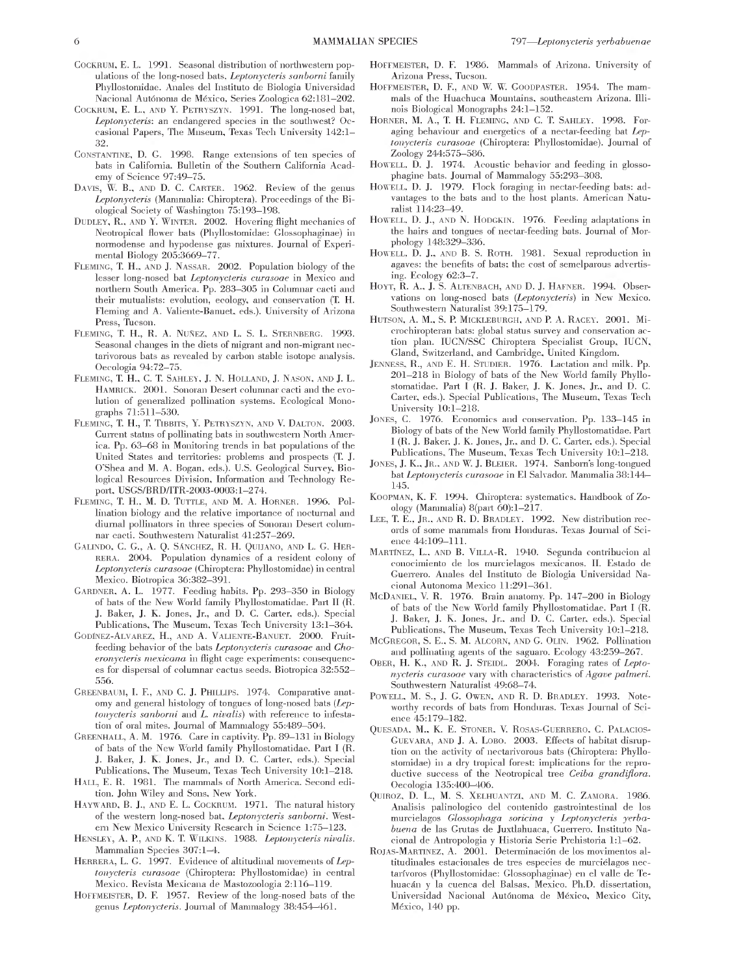- COCKRUM, E. L. 1991. Seasonal distribution of northwestern populations of the long-nosed bats, *Leptonycteris sanborni* family Phyllostomidae. Anales del Instituto de Biologia Universidad Nacional Autónoma de México, Series Zoologica 62:181-202.
- COCKRUM, E. L., AND Y. PETRYSZYN. 1991. The long-nosed bat, *Leptonycteris:* an endangered species in the southwest? Occasional Papers, The Museum, Texas Tech University 142:1– 32.
- CONSTANTINE, D. G. 1998. Range extensions of ten species of bats in California. Bulletin of the Southern California Academy of Science 97:49-75.
- DAVIS, W. B., AND D. C. CARTER. 1962. Review of the genus *Leptonycteris* (Mammalia: Chiroptera). Proceedings of the Biological Society of Washington 75:193-198.
- DUDLEY, R., AND Y. WINTER. 2002. Hovering flight mechanics of Neotropical flower bats (Phyllostomidae: Glossophaginae) in normodense and hypodense gas mixtures. Journal of Experimental Biology 205:3669-77.
- FLEMING, T. H., AND J. NASSAR. 2002. Population biology of the lesser long-nosed bat *Leptonycteris curasoae* in Mexico and northern South America. Pp. 283•305 in Columnar cacti and their mutualists: evolution, ecology, and conservation (T. H. Fleming and A. Valiente-Banuet, eds.). University of Arizona Press, Tucson.
- FLEMING, T. H., R. A. NUÑEZ, AND L. S. L. STERNBERG. 1993. Seasonal changes in the diets of migrant and non-migrant nectarivorous bats as revealed by carbon stable isotope analysis. Oecologia 94:72-75.
- FLEMING, T. H., C. T. SAHLEY, J. N. HOLLAND, J. NASON, AND J. L. HAMRICK. 2001. Sonoran Desert columnar cacti and the evolution of generalized pollination systems. Ecological Monographs 71:511-530.
- FLEMING, T. H., T. TIBBITS, Y. PETRYSZYN, AND V. DALTON. 2003. Current status of pollinating bats in southwestern North America. Pp. 63–68 in Monitoring trends in bat populations of the United States and territories: problems and prospects (T. J. O'Shea and M. A. Bogan, eds.). U.S. Geological Survey, Biological Resources Division, Information and Technology Report, USGS/BRD/ITR-2003-0003:1-274.
- FLEMING, T. H., M. D. TUTTLE, AND M. A. HORNER. 1996. Pollination biology and the relative importance of nocturnal and diurnal pollinators in three species of Sonoran Desert columnar cacti. Southwestern Naturalist 41:257-269.
- GALINDO, C. G., A. Q. SANCHEZ, R. H. QUIJANO, AND L. G. HER-RERA. 2004. Population dynamics of a resident colony of *Leptonycteris curasoae* (Chiroptera: Phyllostomidae) in central Mexico. Biotropica 36:382-391.
- GARDNER, A. L. 1977. Feeding habits. Pp. 293-350 in Biology of bats of the New World family Phyllostomatidae. Part II (R. J. Baker, J. K. Jones, Jr., and D. C. Carter, eds.). Special Publications, The Museum, Texas Tech University 13:1-364.
- GODINEZ-ALVAREZ, H., AND A. VALIENTE-BANUET. 2000. Fruitfeeding behavior of the bats *Leptonycteris curasoae* and *Choeronycteris mexicana* in flight cage experiments: consequences for dispersal of columnar cactus seeds. Biotropica 32:552-556.
- GREENBAUM, I. F., AND C. J. PHILLIPS. 1974. Comparative anatomy and general histology of tongues of long-nosed bats *{Leptonycteris sanborni* and *L. nivalis)* with reference to infestation of oral mites. Journal of Mammalogy 55:489-504.
- GREENHALL, A. M. 1976. Care in captivity. Pp. 89-131 in Biology of bats of the New World family Phyllostomatidae. Part I (R. J. Baker, J. K. Jones, Jr., and D. C. Carter, eds.). Special Publications, The Museum, Texas Tech University 10:1-218.
- HALL, E. R. 1981. The mammals of North America. Second edition. John Wiley and Sons, New York.
- HAYWARD, B. J., AND E. L. COCKRUM. 1971. The natural history of the western long-nosed bat, *Leptonycteris sanborni.* Western New Mexico University Research in Science 1:75-123.
- HENSLEY, A. P., AND K. T WlLKlNS. 1988. *Leptonycteris nivalis.* Mammalian Species 307:1-4.
- HERRERA, L. G. 1997. Evidence of altitudinal movements of *Leptonycteris curasoae* (Chiroptera: Phyllostomidae) in central Mexico. Revista Mexicana de Mastozoologia 2:116-119.
- HOFFMEISTER, D. F. 1957. Review of the long-nosed bats of the genus *Leptonycteris.* Journal of Mammalogy 38:454^461.
- HOFFMEISTER, D. F. 1986. Mammals of Arizona. University of Arizona Press, Tucson.
- HOFFMEISTER, D. F., AND W. W. GOODPASTER. 1954. The mammals of the Huachuca Mountains, southeastern Arizona. Illinois Biological Monographs 24:1-152.
- HORNER, M. A., T. H. FLEMING, AND C. T. SAHLEY. 1998. Foraging behaviour and energetics of a nectar-feeding bat *Leptonycteris curasoae* (Chiroptera: Phyllostomidae). Journal of Zoology 244:575-586.
- HoWELL, D. J. 1974. Acoustic behavior and feeding in glossophagine bats. Journal of Mammalogy 55:293-308.
- HOWELL, D. J. 1979. Flock foraging in nectar-feeding bats: advantages to the bats and to the host plants. American Naturalist 114:23-49.
- HOWELL, D. J., AND N. HODGKIN. 1976. Feeding adaptations in the hairs and tongues of nectar-feeding bats. Journal of Morphology 148:329-336.
- HOWELL, D. J., AND B. S. ROTH. 1981. Sexual reproduction in agaves: the benefits of bats; the cost of semelparous advertising. Ecology 62:3-7.
- HOYT, R. A., J. S. ALTENBACH, AND D. J. HAFNER. 1994. Observations on long-nosed bats *(Leptonycteris)* in New Mexico. Southwestern Naturalist 39:175-179.
- HUTSON, A. M., S. P. MlCKLEBURGH, AND P. A. RACEY. 2001. Microchiropteran bats: global status survey and conservation action plan. IUCN/SSC Chiroptera Specialist Group, IUCN, Gland, Switzerland, and Cambridge, United Kingdom.
- JENNESS, R., AND E. H. STUDIER. 1976. Lactation and milk. Pp. 201-218 in Biology of bats of the New World family Phyllostomatidae. Part I (R. J. Baker, J. K. Jones, Jr., and D. C. Carter, eds.). Special Publications, The Museum, Texas Tech University 10:1-218.
- JONES, C. 1976. Economics and conservation. Pp. 133-145 in Biology of bats of the New World family Phyllostomatidae. Part <sup>I</sup> (R. J. Baker, J. K. Jones, Jr., and D. C. Carter, eds.). Special Publications, The Museum, Texas Tech University 10:1-218.
- JONES, J. K., JR., AND W. J. BLEIER. 1974. Sanborn's long-tongued bat *Leptonycteris curasoae* in El Salvador. Mammalia 38:144• 145.
- KOOPMAN, K. F. 1994. Chiroptera: systematics. Handbook of Zoology (Mammalia) 8(part 60):1-217.
- LEE, T. E., JR., AND R. D. BRADLEY. 1992. New distribution records of some mammals from Honduras. Texas Journal of Science 44:109-111.
- MARTfNEZ, L., AND B. VlLLA-R. 1940. Segunda contribucion al conocimiento de los murcielagos mexicanos. II. Estado de Guerrero. Anales del Instituto de Biologia Universidad Nacional Autonoma Mexico 11:291-361.
- McDANlEL, V. R. 1976. Brain anatomy. Pp. 147-200 in Biology of bats of the New World family Phyllostomatidae. Part I (R. J. Baker, J. K. Jones, Jr., and D. C. Carter, eds.). Special Publications, The Museum, Texas Tech University 10:1-218.
- MCGREGOR, S. E., S. M. ALCORN, AND G. OLIN. 1962. Pollination and pollinating agents of the saguaro. Ecology 43:259-267.
- OBER, H. K., AND R. J. STEIDL. 2004. Foraging rates of *Leptonycteris curasoae* vary with characteristics of *Agave palmeri.* Southwestern Naturalist 49:68-74.
- POWELL, M. S., J. G. OWEN, AND R. D. BRADLEY. 1993. Noteworthy records of bats from Honduras. Texas Journal of Science 45:179-182.
- QUESADA, M., K. E. STONER, V. ROSAS-GUERRERO, C. PALACIOS-GUEVARA, AND J. A. LOBO. 2003. Effects of habitat disruption on the activity of nectarivorous bats (Chiroptera: Phyllostomidae) in a dry tropical forest: implications for the reproductive success of the Neotropical tree *Ceiba grandiflora.* Oecologia 135:400-406.
- QUIROZ, D. L., M. S. XELHUANTZI, AND M. C. ZAMORA. 1986. Analisis palinologico del contenido gastrointestinal de los murcielagos *Glossophaga soricina* y *Leptonycteris yerbabuena* de las Grutas de Juxtlahuaca, Guerrero. Instituto Nacional de Antropologia y Historia Serie Prehistoria 1:1•62.
- ROJAS-MARTINEZ, A. 2001. Determinación de los movimentos altitudinales estacionales de tres especies de murcielagos nectarivoros (Phyllostomidae: Glossophaginae) en el valle de Tehuacán y la cuenca del Balsas, Mexico. Ph.D. dissertation, Universidad Nacional Autonoma de Mexico, Mexico City, Mexico, 140 pp.